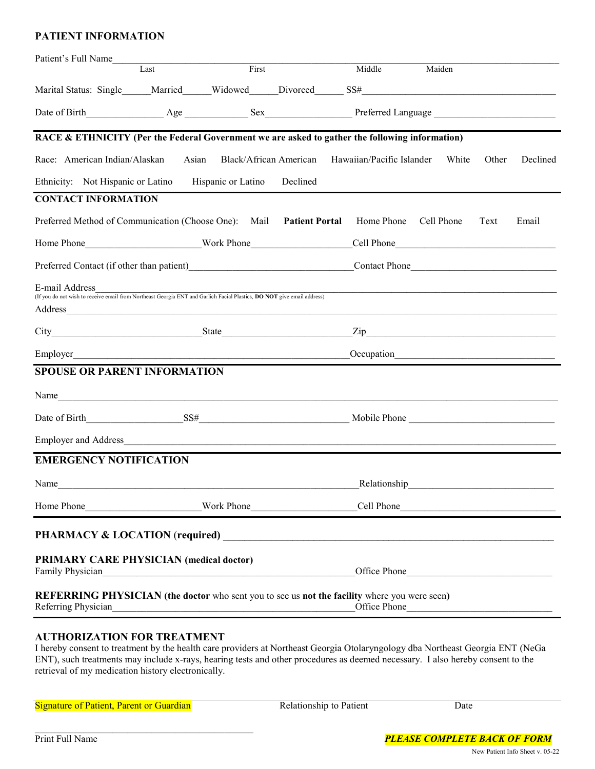# PATIENT INFORMATION

| Patient's Full Name                                                                                                                              |                                                                                                                       |                    |                        |                                                 |              |        |       |          |
|--------------------------------------------------------------------------------------------------------------------------------------------------|-----------------------------------------------------------------------------------------------------------------------|--------------------|------------------------|-------------------------------------------------|--------------|--------|-------|----------|
|                                                                                                                                                  | Last                                                                                                                  | First              |                        | Middle                                          |              | Maiden |       |          |
|                                                                                                                                                  |                                                                                                                       |                    |                        |                                                 |              |        |       |          |
|                                                                                                                                                  |                                                                                                                       |                    |                        |                                                 |              |        |       |          |
| RACE & ETHNICITY (Per the Federal Government we are asked to gather the following information)                                                   |                                                                                                                       |                    |                        |                                                 |              |        |       |          |
| Race: American Indian/Alaskan                                                                                                                    | Asian                                                                                                                 |                    | Black/African American | Hawaiian/Pacific Islander                       |              | White  | Other | Declined |
| Ethnicity: Not Hispanic or Latino                                                                                                                |                                                                                                                       | Hispanic or Latino | Declined               |                                                 |              |        |       |          |
| <b>CONTACT INFORMATION</b>                                                                                                                       |                                                                                                                       |                    |                        |                                                 |              |        |       |          |
| Preferred Method of Communication (Choose One): Mail                                                                                             |                                                                                                                       |                    | <b>Patient Portal</b>  | Home Phone                                      | Cell Phone   |        | Text  | Email    |
|                                                                                                                                                  |                                                                                                                       |                    |                        |                                                 | Cell Phone   |        |       |          |
|                                                                                                                                                  |                                                                                                                       |                    |                        |                                                 |              |        |       |          |
| E-mail Address<br>(If you do not wish to receive email from Northeast Georgia ENT and Garlich Facial Plastics, <b>DO NOT</b> give email address) |                                                                                                                       |                    |                        |                                                 |              |        |       |          |
|                                                                                                                                                  |                                                                                                                       |                    |                        |                                                 |              |        |       |          |
|                                                                                                                                                  |                                                                                                                       |                    |                        | $\mathsf{Zip}\hspace{-.01in} \rule{0pt}{2.5ex}$ |              |        |       |          |
| Employer                                                                                                                                         |                                                                                                                       |                    |                        |                                                 | Occupation   |        |       |          |
| <b>SPOUSE OR PARENT INFORMATION</b>                                                                                                              |                                                                                                                       |                    |                        |                                                 |              |        |       |          |
| Name                                                                                                                                             |                                                                                                                       |                    |                        |                                                 |              |        |       |          |
|                                                                                                                                                  |                                                                                                                       |                    |                        |                                                 |              |        |       |          |
|                                                                                                                                                  |                                                                                                                       |                    |                        |                                                 |              |        |       |          |
| <b>EMERGENCY NOTIFICATION</b>                                                                                                                    |                                                                                                                       |                    |                        |                                                 |              |        |       |          |
| Name                                                                                                                                             |                                                                                                                       |                    |                        | Relationship                                    |              |        |       |          |
| Home Phone                                                                                                                                       |                                                                                                                       | Work Phone         |                        |                                                 | Cell Phone   |        |       |          |
|                                                                                                                                                  |                                                                                                                       |                    |                        |                                                 |              |        |       |          |
| <b>PRIMARY CARE PHYSICIAN (medical doctor)</b><br>Family Physician                                                                               | <u> 1989 - Johann John Stein, marwolaeth a bhaile ann an t-Amhain an t-Amhain ann an t-Amhain an t-Amhain ann an </u> |                    |                        |                                                 | Office Phone |        |       |          |
| <b>REFERRING PHYSICIAN</b> (the doctor who sent you to see us not the facility where you were seen)<br>Referring Physician                       | <u> 1989 - Johann Barn, mars ar breithinn ar chwaraeth a bhaile ann an t-</u>                                         |                    |                        |                                                 | Office Phone |        |       |          |

# AUTHORIZATION FOR TREATMENT

 $\mathcal{L}_\text{max}$  and  $\mathcal{L}_\text{max}$  and  $\mathcal{L}_\text{max}$  and  $\mathcal{L}_\text{max}$ 

I hereby consent to treatment by the health care providers at Northeast Georgia Otolaryngology dba Northeast Georgia ENT (NeGa ENT), such treatments may include x-rays, hearing tests and other procedures as deemed necessary. I also hereby consent to the retrieval of my medication history electronically.

Signature of Patient, Parent or Guardian **Relationship to Patient** Date Date